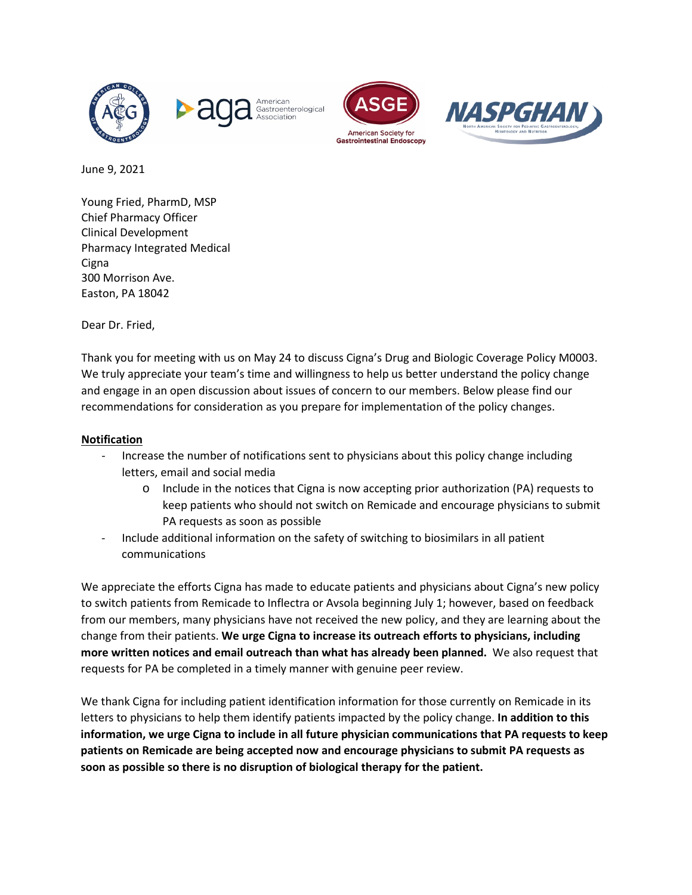







June 9, 2021

Young Fried, PharmD, MSP Chief Pharmacy Officer Clinical Development Pharmacy Integrated Medical **Cigna** 300 Morrison Ave. Easton, PA 18042

Dear Dr. Fried,

Thank you for meeting with us on May 24 to discuss Cigna's Drug and Biologic Coverage Policy M0003. We truly appreciate your team's time and willingness to help us better understand the policy change and engage in an open discussion about issues of concern to our members. Below please find our recommendations for consideration as you prepare for implementation of the policy changes.

## **Notification**

- Increase the number of notifications sent to physicians about this policy change including letters, email and social media
	- o Include in the notices that Cigna is now accepting prior authorization (PA) requests to keep patients who should not switch on Remicade and encourage physicians to submit PA requests as soon as possible
- Include additional information on the safety of switching to biosimilars in all patient communications

We appreciate the efforts Cigna has made to educate patients and physicians about Cigna's new policy to switch patients from Remicade to Inflectra or Avsola beginning July 1; however, based on feedback from our members, many physicians have not received the new policy, and they are learning about the change from their patients. **We urge Cigna to increase its outreach efforts to physicians, including more written notices and email outreach than what has already been planned.** We also request that requests for PA be completed in a timely manner with genuine peer review.

We thank Cigna for including patient identification information for those currently on Remicade in its letters to physicians to help them identify patients impacted by the policy change. **In addition to this information, we urge Cigna to include in all future physician communications that PA requests to keep patients on Remicade are being accepted now and encourage physicians to submit PA requests as soon as possible so there is no disruption of biological therapy for the patient.**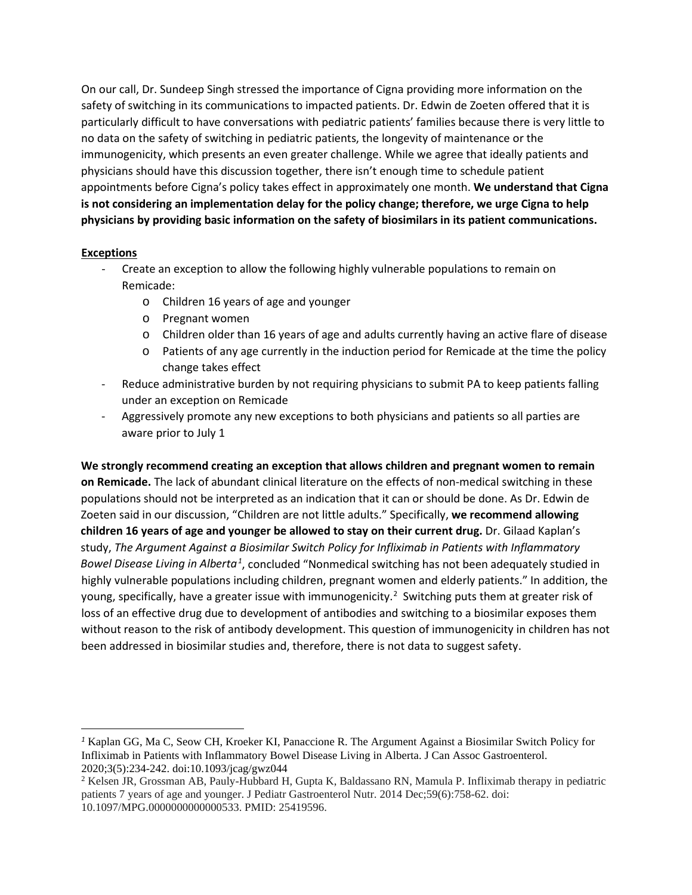On our call, Dr. Sundeep Singh stressed the importance of Cigna providing more information on the safety of switching in its communications to impacted patients. Dr. Edwin de Zoeten offered that it is particularly difficult to have conversations with pediatric patients' families because there is very little to no data on the safety of switching in pediatric patients, the longevity of maintenance or the immunogenicity, which presents an even greater challenge. While we agree that ideally patients and physicians should have this discussion together, there isn't enough time to schedule patient appointments before Cigna's policy takes effect in approximately one month. **We understand that Cigna is not considering an implementation delay for the policy change; therefore, we urge Cigna to help physicians by providing basic information on the safety of biosimilars in its patient communications.**

## **Exceptions**

- Create an exception to allow the following highly vulnerable populations to remain on Remicade:
	- o Children 16 years of age and younger
	- o Pregnant women
	- o Children older than 16 years of age and adults currently having an active flare of disease
	- o Patients of any age currently in the induction period for Remicade at the time the policy change takes effect
- Reduce administrative burden by not requiring physicians to submit PA to keep patients falling under an exception on Remicade
- Aggressively promote any new exceptions to both physicians and patients so all parties are aware prior to July 1

**We strongly recommend creating an exception that allows children and pregnant women to remain on Remicade.** The lack of abundant clinical literature on the effects of non-medical switching in these populations should not be interpreted as an indication that it can or should be done. As Dr. Edwin de Zoeten said in our discussion, "Children are not little adults." Specifically, **we recommend allowing children 16 years of age and younger be allowed to stay on their current drug.** Dr. Gilaad Kaplan's study, *The Argument Against a Biosimilar Switch Policy for Infliximab in Patients with Inflammatory Bowel Disease Living in Alberta[1](#page-1-0)* , concluded "Nonmedical switching has not been adequately studied in highly vulnerable populations including children, pregnant women and elderly patients." In addition, the young, specifically, have a greater issue with immunogenicity.<sup>[2](#page-1-1)</sup> Switching puts them at greater risk of loss of an effective drug due to development of antibodies and switching to a biosimilar exposes them without reason to the risk of antibody development. This question of immunogenicity in children has not been addressed in biosimilar studies and, therefore, there is not data to suggest safety.

<span id="page-1-0"></span>*<sup>1</sup>* Kaplan GG, Ma C, Seow CH, Kroeker KI, Panaccione R. The Argument Against a Biosimilar Switch Policy for Infliximab in Patients with Inflammatory Bowel Disease Living in Alberta. J Can Assoc Gastroenterol. 2020;3(5):234-242. doi:10.1093/jcag/gwz044

<span id="page-1-1"></span><sup>2</sup> Kelsen JR, Grossman AB, Pauly-Hubbard H, Gupta K, Baldassano RN, Mamula P. Infliximab therapy in pediatric patients 7 years of age and younger. J Pediatr Gastroenterol Nutr. 2014 Dec;59(6):758-62. doi: 10.1097/MPG.0000000000000533. PMID: 25419596.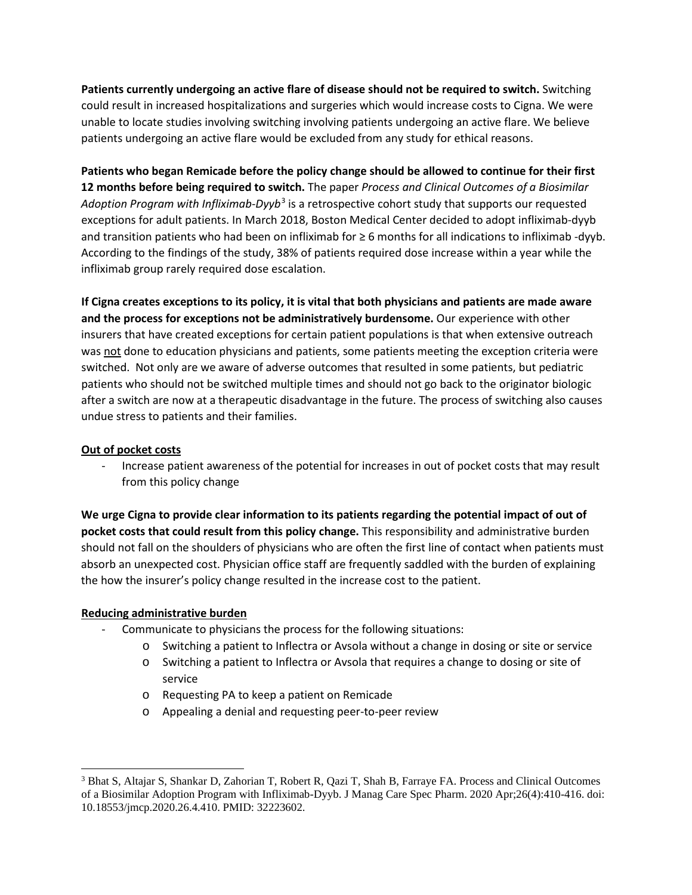**Patients currently undergoing an active flare of disease should not be required to switch.** Switching could result in increased hospitalizations and surgeries which would increase costs to Cigna. We were unable to locate studies involving switching involving patients undergoing an active flare. We believe patients undergoing an active flare would be excluded from any study for ethical reasons.

**Patients who began Remicade before the policy change should be allowed to continue for their first 12 months before being required to switch.** The paper *Process and Clinical Outcomes of a Biosimilar Adoption Program with Infliximab-Dyyb*[3](#page-2-0) is a retrospective cohort study that supports our requested exceptions for adult patients. In March 2018, Boston Medical Center decided to adopt infliximab-dyyb and transition patients who had been on infliximab for ≥ 6 months for all indications to infliximab -dyyb. According to the findings of the study, 38% of patients required dose increase within a year while the infliximab group rarely required dose escalation.

If Cigna creates exceptions to its policy, it is vital that both physicians and patients are made aware **and the process for exceptions not be administratively burdensome.** Our experience with other insurers that have created exceptions for certain patient populations is that when extensive outreach was not done to education physicians and patients, some patients meeting the exception criteria were switched. Not only are we aware of adverse outcomes that resulted in some patients, but pediatric patients who should not be switched multiple times and should not go back to the originator biologic after a switch are now at a therapeutic disadvantage in the future. The process of switching also causes undue stress to patients and their families.

#### **Out of pocket costs**

- Increase patient awareness of the potential for increases in out of pocket costs that may result from this policy change

**We urge Cigna to provide clear information to its patients regarding the potential impact of out of pocket costs that could result from this policy change.** This responsibility and administrative burden should not fall on the shoulders of physicians who are often the first line of contact when patients must absorb an unexpected cost. Physician office staff are frequently saddled with the burden of explaining the how the insurer's policy change resulted in the increase cost to the patient.

# **Reducing administrative burden**

- Communicate to physicians the process for the following situations:
	- o Switching a patient to Inflectra or Avsola without a change in dosing or site or service
	- o Switching a patient to Inflectra or Avsola that requires a change to dosing or site of service
	- o Requesting PA to keep a patient on Remicade
	- o Appealing a denial and requesting peer-to-peer review

<span id="page-2-0"></span><sup>3</sup> Bhat S, Altajar S, Shankar D, Zahorian T, Robert R, Qazi T, Shah B, Farraye FA. Process and Clinical Outcomes of a Biosimilar Adoption Program with Infliximab-Dyyb. J Manag Care Spec Pharm. 2020 Apr;26(4):410-416. doi: 10.18553/jmcp.2020.26.4.410. PMID: 32223602.